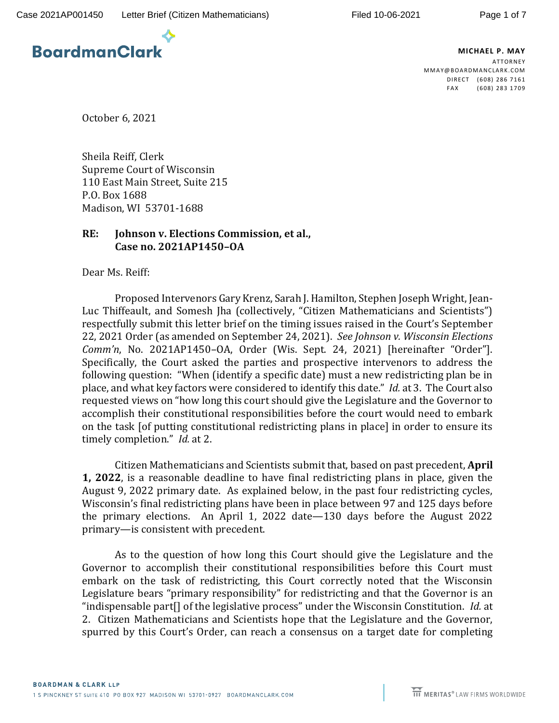

**MICHAEL P. MAY ATTORNEY** MMAY@B OARDMA NCLAR K.C OM DIRECT (608) 286 7161 FAX (608) 283 1709

October 6, 2021

Sheila Reiff, Clerk Supreme Court of Wisconsin 110 East Main Street, Suite 215 P.O. Box 1688 Madison, WI 53701-1688

## **RE: Johnson v. Elections Commission, et al., Case no. 2021AP1450–OA**

Dear Ms. Reiff:

Proposed Intervenors Gary Krenz, Sarah J. Hamilton, Stephen Joseph Wright, Jean-Luc Thiffeault, and Somesh Jha (collectively, "Citizen Mathematicians and Scientists") respectfully submit this letter brief on the timing issues raised in the Court's September 22, 2021 Order (as amended on September 24, 2021). *See Johnson v. Wisconsin Elections Comm'n*, No. 2021AP1450–OA, Order (Wis. Sept. 24, 2021) [hereinafter "Order"]. Specifically, the Court asked the parties and prospective intervenors to address the following question: "When (identify a specific date) must a new redistricting plan be in place, and what key factors were considered to identify this date." *Id.* at 3.The Court also requested views on "how long this court should give the Legislature and the Governor to accomplish their constitutional responsibilities before the court would need to embark on the task [of putting constitutional redistricting plans in place] in order to ensure its timely completion." *Id.* at 2.

Citizen Mathematicians and Scientists submit that, based on past precedent, **April 1, 2022**, is a reasonable deadline to have final redistricting plans in place, given the August 9, 2022 primary date. As explained below, in the past four redistricting cycles, Wisconsin's final redistricting plans have been in place between 97 and 125 days before the primary elections. An April 1, 2022 date—130 days before the August 2022 primary—is consistent with precedent.

As to the question of how long this Court should give the Legislature and the Governor to accomplish their constitutional responsibilities before this Court must embark on the task of redistricting, this Court correctly noted that the Wisconsin Legislature bears "primary responsibility" for redistricting and that the Governor is an "indispensable part[] of the legislative process" under the Wisconsin Constitution. *Id.* at 2. Citizen Mathematicians and Scientists hope that the Legislature and the Governor, spurred by this Court's Order, can reach a consensus on a target date for completing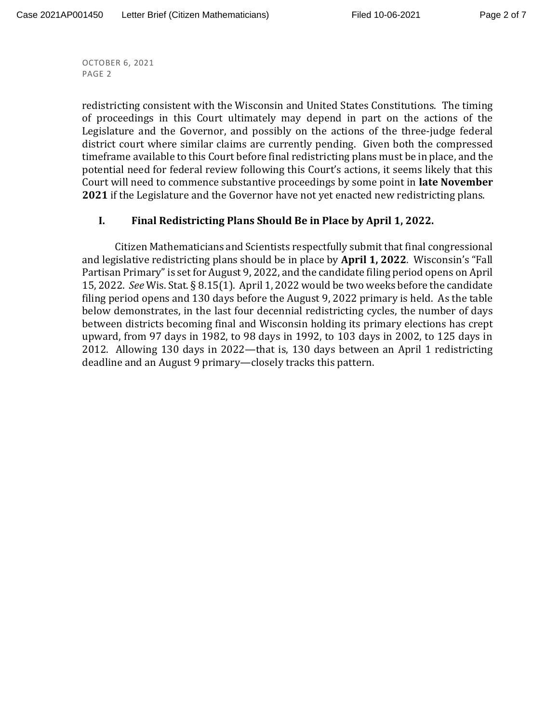redistricting consistent with the Wisconsin and United States Constitutions. The timing of proceedings in this Court ultimately may depend in part on the actions of the Legislature and the Governor, and possibly on the actions of the three-judge federal district court where similar claims are currently pending. Given both the compressed timeframe available to this Court before final redistricting plans must be in place, and the potential need for federal review following this Court's actions, it seems likely that this Court will need to commence substantive proceedings by some point in **late November 2021** if the Legislature and the Governor have not yet enacted new redistricting plans.

## **I. Final Redistricting Plans Should Be in Place by April 1, 2022.**

Citizen Mathematicians and Scientists respectfully submit that final congressional and legislative redistricting plans should be in place by **April 1, 2022**. Wisconsin's "Fall Partisan Primary" is set for August 9, 2022, and the candidate filing period opens on April 15, 2022. *See* Wis. Stat. § 8.15(1). April 1, 2022 would be two weeks before the candidate filing period opens and 130 days before the August 9, 2022 primary is held. As the table below demonstrates, in the last four decennial redistricting cycles, the number of days between districts becoming final and Wisconsin holding its primary elections has crept upward, from 97 days in 1982, to 98 days in 1992, to 103 days in 2002, to 125 days in 2012. Allowing 130 days in 2022—that is, 130 days between an April 1 redistricting deadline and an August 9 primary—closely tracks this pattern.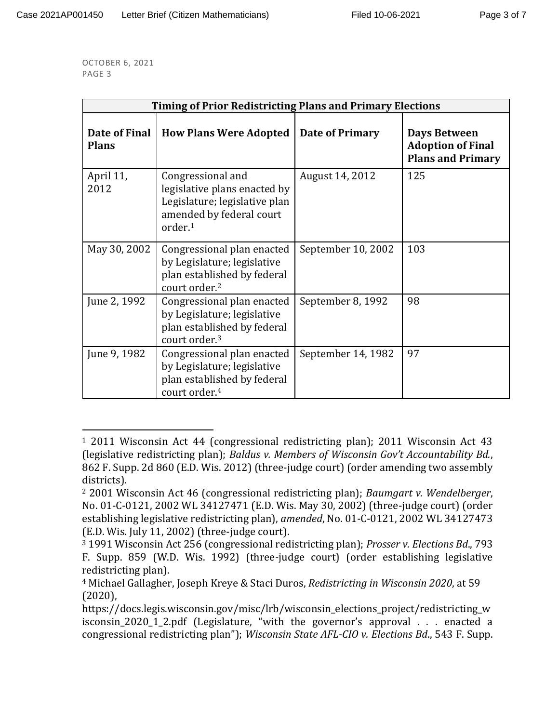| <b>Timing of Prior Redistricting Plans and Primary Elections</b> |                                                                                                                                       |                    |                                                                             |
|------------------------------------------------------------------|---------------------------------------------------------------------------------------------------------------------------------------|--------------------|-----------------------------------------------------------------------------|
| Date of Final<br><b>Plans</b>                                    | <b>How Plans Were Adopted</b>                                                                                                         | Date of Primary    | <b>Days Between</b><br><b>Adoption of Final</b><br><b>Plans and Primary</b> |
| April 11,<br>2012                                                | Congressional and<br>legislative plans enacted by<br>Legislature; legislative plan<br>amended by federal court<br>order. <sup>1</sup> | August 14, 2012    | 125                                                                         |
| May 30, 2002                                                     | Congressional plan enacted<br>by Legislature; legislative<br>plan established by federal<br>court order. <sup>2</sup>                 | September 10, 2002 | 103                                                                         |
| June 2, 1992                                                     | Congressional plan enacted<br>by Legislature; legislative<br>plan established by federal<br>court order. <sup>3</sup>                 | September 8, 1992  | 98                                                                          |
| June 9, 1982                                                     | Congressional plan enacted<br>by Legislature; legislative<br>plan established by federal<br>court order. <sup>4</sup>                 | September 14, 1982 | 97                                                                          |

<sup>1</sup> 2011 Wisconsin Act 44 (congressional redistricting plan); 2011 Wisconsin Act 43 (legislative redistricting plan); *Baldus v. Members of Wisconsin Gov't Accountability Bd.*, 862 F. Supp. 2d 860 (E.D. Wis. 2012) (three-judge court) (order amending two assembly districts).

<sup>2</sup> 2001 Wisconsin Act 46 (congressional redistricting plan); *Baumgart v. Wendelberger*, No. 01-C-0121, 2002 WL 34127471 (E.D. Wis. May 30, 2002) (three-judge court) (order establishing legislative redistricting plan), *amended*, No. 01-C-0121, 2002 WL 34127473 (E.D. Wis. July 11, 2002) (three-judge court).

<sup>3</sup> 1991 Wisconsin Act 256 (congressional redistricting plan); *Prosser v. Elections Bd*., 793 F. Supp. 859 (W.D. Wis. 1992) (three-judge court) (order establishing legislative redistricting plan).

<sup>4</sup> Michael Gallagher, Joseph Kreye & Staci Duros, *Redistricting in Wisconsin 2020*, at 59 (2020),

https://docs.legis.wisconsin.gov/misc/lrb/wisconsin\_elections\_project/redistricting\_w isconsin\_2020\_1\_2.pdf (Legislature, "with the governor's approval . . . enacted a congressional redistricting plan"); *Wisconsin State AFL-CIO v. Elections Bd*., 543 F. Supp.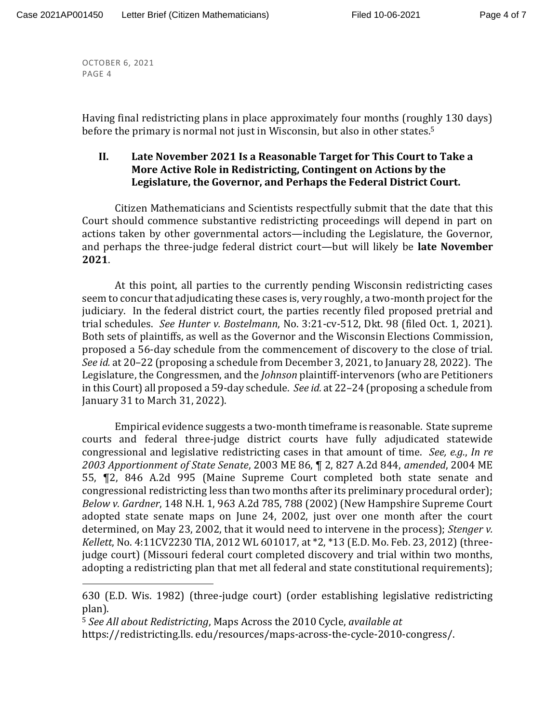Having final redistricting plans in place approximately four months (roughly 130 days) before the primary is normal not just in Wisconsin, but also in other states.<sup>5</sup>

## **II. Late November 2021 Is a Reasonable Target for This Court to Take a More Active Role in Redistricting, Contingent on Actions by the Legislature, the Governor, and Perhaps the Federal District Court.**

Citizen Mathematicians and Scientists respectfully submit that the date that this Court should commence substantive redistricting proceedings will depend in part on actions taken by other governmental actors—including the Legislature, the Governor, and perhaps the three-judge federal district court—but will likely be **late November 2021**.

At this point, all parties to the currently pending Wisconsin redistricting cases seem to concur that adjudicating these cases is, very roughly, a two-month project for the judiciary. In the federal district court, the parties recently filed proposed pretrial and trial schedules. *See Hunter v. Bostelmann*, No. 3:21-cv-512, Dkt. 98 (filed Oct. 1, 2021). Both sets of plaintiffs, as well as the Governor and the Wisconsin Elections Commission, proposed a 56-day schedule from the commencement of discovery to the close of trial. *See id.* at 20–22 (proposing a schedule from December 3, 2021, to January 28, 2022). The Legislature, the Congressmen, and the *Johnson* plaintiff-intervenors (who are Petitioners in this Court) all proposed a 59-day schedule. *See id.* at 22–24 (proposing a schedule from January 31 to March 31, 2022).

Empirical evidence suggests a two-month timeframe is reasonable. State supreme courts and federal three-judge district courts have fully adjudicated statewide congressional and legislative redistricting cases in that amount of time. *See, e.g.*, *In re 2003 Apportionment of State Senate*, 2003 ME 86, ¶ 2, 827 A.2d 844, *amended*, 2004 ME 55, ¶2, 846 A.2d 995 (Maine Supreme Court completed both state senate and congressional redistricting less than two months after its preliminary procedural order); *Below v. Gardner*, 148 N.H. 1, 963 A.2d 785, 788 (2002) (New Hampshire Supreme Court adopted state senate maps on June 24, 2002, just over one month after the court determined, on May 23, 2002, that it would need to intervene in the process); *Stenger v. Kellett*, No. 4:11CV2230 TIA, 2012 WL 601017, at \*2, \*13 (E.D. Mo. Feb. 23, 2012) (threejudge court) (Missouri federal court completed discovery and trial within two months, adopting a redistricting plan that met all federal and state constitutional requirements);

<sup>5</sup> *See All about Redistricting*, Maps Across the 2010 Cycle, *available at*

https://redistricting.lls. edu/resources/maps-across-the-cycle-2010-congress/.

<sup>630 (</sup>E.D. Wis. 1982) (three-judge court) (order establishing legislative redistricting plan).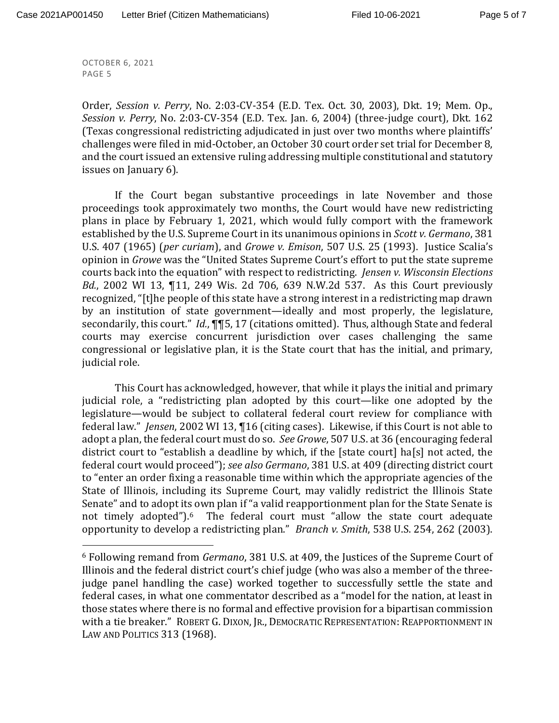Order, *Session v. Perry*, No. 2:03-CV-354 (E.D. Tex. Oct. 30, 2003), Dkt. 19; Mem. Op., *Session v. Perry*, No. 2:03-CV-354 (E.D. Tex. Jan. 6, 2004) (three-judge court), Dkt. 162 (Texas congressional redistricting adjudicated in just over two months where plaintiffs' challenges were filed in mid-October, an October 30 court order set trial for December 8, and the court issued an extensive ruling addressing multiple constitutional and statutory issues on January 6).

If the Court began substantive proceedings in late November and those proceedings took approximately two months, the Court would have new redistricting plans in place by February 1, 2021, which would fully comport with the framework established by the U.S. Supreme Court in its unanimous opinions in *Scott v. Germano*, 381 U.S. 407 (1965) (*per curiam*), and *Growe v. Emison*, 507 U.S. 25 (1993). Justice Scalia's opinion in *Growe* was the "United States Supreme Court's effort to put the state supreme courts back into the equation" with respect to redistricting. *Jensen v. Wisconsin Elections Bd.*, 2002 WI 13, ¶11, 249 Wis. 2d 706, 639 N.W.2d 537. As this Court previously recognized, "[t]he people of this state have a strong interest in a redistricting map drawn by an institution of state government—ideally and most properly, the legislature, secondarily, this court." *Id.*, ¶¶5, 17 (citations omitted). Thus, although State and federal courts may exercise concurrent jurisdiction over cases challenging the same congressional or legislative plan, it is the State court that has the initial, and primary, judicial role.

This Court has acknowledged, however, that while it plays the initial and primary judicial role, a "redistricting plan adopted by this court—like one adopted by the legislature—would be subject to collateral federal court review for compliance with federal law." *Jensen*, 2002 WI 13, ¶16 (citing cases). Likewise, if this Court is not able to adopt a plan, the federal court must do so. *See Growe*, 507 U.S. at 36 (encouraging federal district court to "establish a deadline by which, if the [state court] ha[s] not acted, the federal court would proceed"); *see also Germano*, 381 U.S. at 409 (directing district court to "enter an order fixing a reasonable time within which the appropriate agencies of the State of Illinois, including its Supreme Court, may validly redistrict the Illinois State Senate" and to adopt its own plan if "a valid reapportionment plan for the State Senate is not timely adopted").<sup>6</sup> The federal court must "allow the state court adequate opportunity to develop a redistricting plan." *Branch v. Smith*, 538 U.S. 254, 262 (2003).

<sup>6</sup> Following remand from *Germano*, 381 U.S. at 409, the Justices of the Supreme Court of Illinois and the federal district court's chief judge (who was also a member of the threejudge panel handling the case) worked together to successfully settle the state and federal cases, in what one commentator described as a "model for the nation, at least in those states where there is no formal and effective provision for a bipartisan commission with a tie breaker." ROBERT G. DIXON, JR., DEMOCRATIC REPRESENTATION: REAPPORTIONMENT IN LAW AND POLITICS 313 (1968).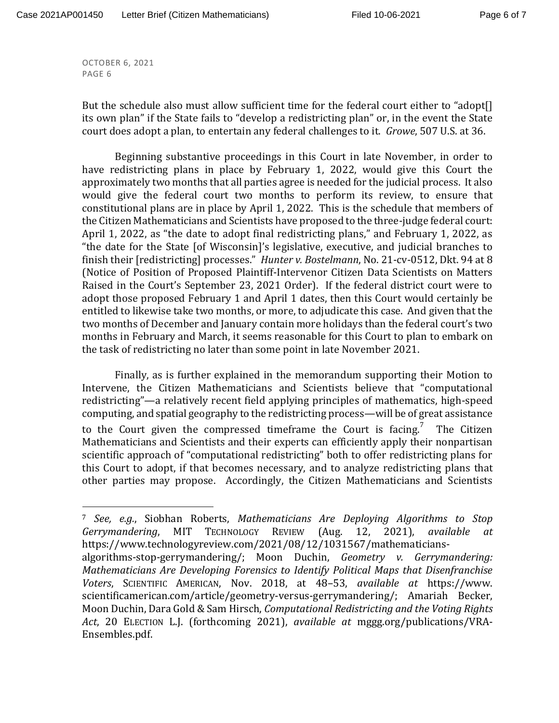But the schedule also must allow sufficient time for the federal court either to "adopt[] its own plan" if the State fails to "develop a redistricting plan" or, in the event the State court does adopt a plan, to entertain any federal challenges to it. *Growe*, 507 U.S. at 36.

Beginning substantive proceedings in this Court in late November, in order to have redistricting plans in place by February 1, 2022, would give this Court the approximately two months that all parties agree is needed for the judicial process. It also would give the federal court two months to perform its review, to ensure that constitutional plans are in place by April 1, 2022. This is the schedule that members of the Citizen Mathematicians and Scientists have proposed to the three-judge federal court: April 1, 2022, as "the date to adopt final redistricting plans," and February 1, 2022, as "the date for the State [of Wisconsin]'s legislative, executive, and judicial branches to finish their [redistricting] processes." *Hunter v. Bostelmann*, No. 21-cv-0512, Dkt. 94 at 8 (Notice of Position of Proposed Plaintiff-Intervenor Citizen Data Scientists on Matters Raised in the Court's September 23, 2021 Order). If the federal district court were to adopt those proposed February 1 and April 1 dates, then this Court would certainly be entitled to likewise take two months, or more, to adjudicate this case. And given that the two months of December and January contain more holidays than the federal court's two months in February and March, it seems reasonable for this Court to plan to embark on the task of redistricting no later than some point in late November 2021.

Finally, as is further explained in the memorandum supporting their Motion to Intervene, the Citizen Mathematicians and Scientists believe that "computational redistricting"—a relatively recent field applying principles of mathematics, high-speed computing, and spatial geography to the redistricting process—will be of great assistance to the Court given the compressed timeframe the Court is facing.<sup>7</sup> The Citizen Mathematicians and Scientists and their experts can efficiently apply their nonpartisan scientific approach of "computational redistricting" both to offer redistricting plans for this Court to adopt, if that becomes necessary, and to analyze redistricting plans that other parties may propose. Accordingly, the Citizen Mathematicians and Scientists

<sup>7</sup> *See, e.g.*, Siobhan Roberts, *Mathematicians Are Deploying Algorithms to Stop Gerrymandering*, MIT TECHNOLOGY REVIEW (Aug. 12, 2021), *available at* https://www.technologyreview.com/2021/08/12/1031567/mathematicians-

algorithms-stop-gerrymandering/; Moon Duchin, *Geometry v. Gerrymandering: Mathematicians Are Developing Forensics to Identify Political Maps that Disenfranchise Voters*, SCIENTIFIC AMERICAN, Nov. 2018, at 48–53, *available at* https://www. scientificamerican.com/article/geometry-versus-gerrymandering/; Amariah Becker, Moon Duchin, Dara Gold & Sam Hirsch, *Computational Redistricting and the Voting Rights Act*, 20 ELECTION L.J. (forthcoming 2021), *available at* mggg.org/publications/VRA-Ensembles.pdf.